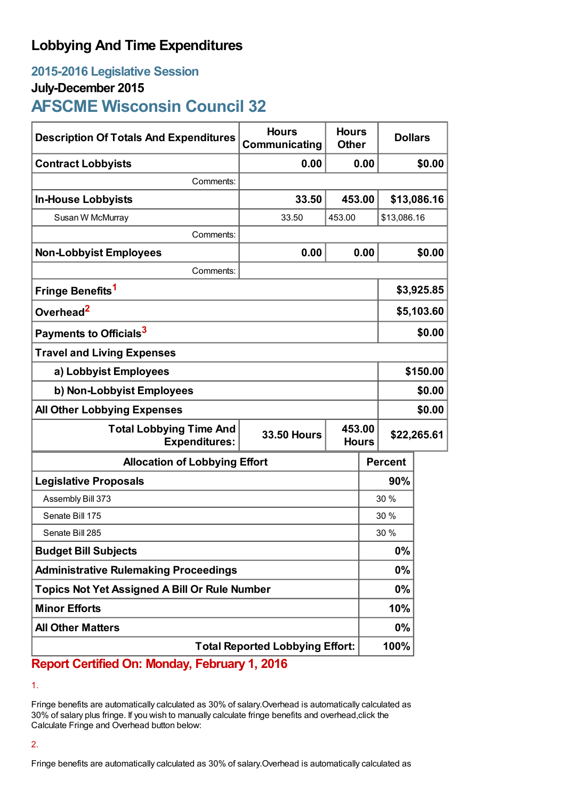# **Lobbying And Time Expenditures**

## **2015-2016 Legislative Session**

## **July-December 2015**

# **AFSCME Wisconsin Council 32**

| <b>Description Of Totals And Expenditures</b>          | <b>Hours</b><br>Communicating | <b>Hours</b><br><b>Other</b> |            | <b>Dollars</b> |             |
|--------------------------------------------------------|-------------------------------|------------------------------|------------|----------------|-------------|
| <b>Contract Lobbyists</b>                              | 0.00                          |                              | 0.00       |                | \$0.00      |
| Comments:                                              |                               |                              |            |                |             |
| <b>In-House Lobbyists</b>                              | 33.50                         | 453.00                       |            |                | \$13,086.16 |
| Susan W McMurray                                       | 33.50                         | 453.00                       |            | \$13,086.16    |             |
| Comments:                                              |                               |                              |            |                |             |
| <b>Non-Lobbyist Employees</b>                          | 0.00                          |                              | 0.00       |                | \$0.00      |
| Comments:                                              |                               |                              |            |                |             |
| Fringe Benefits <sup>1</sup>                           |                               |                              | \$3,925.85 |                |             |
| Overhead <sup>2</sup>                                  |                               |                              |            | \$5,103.60     |             |
| Payments to Officials <sup>3</sup>                     |                               |                              |            | \$0.00         |             |
| <b>Travel and Living Expenses</b>                      |                               |                              |            |                |             |
| a) Lobbyist Employees                                  |                               |                              |            | \$150.00       |             |
| b) Non-Lobbyist Employees                              |                               |                              |            | \$0.00         |             |
| <b>All Other Lobbying Expenses</b>                     |                               |                              |            | \$0.00         |             |
| <b>Total Lobbying Time And</b><br><b>Expenditures:</b> | <b>33.50 Hours</b>            | 453.00<br><b>Hours</b>       |            | \$22,265.61    |             |
| <b>Allocation of Lobbying Effort</b>                   |                               |                              |            | <b>Percent</b> |             |
| <b>Legislative Proposals</b>                           |                               |                              | 90%        |                |             |
| Assembly Bill 373                                      |                               |                              | 30 %       |                |             |
| Senate Bill 175                                        |                               |                              | 30 %       |                |             |
| Senate Bill 285                                        |                               |                              | 30 %       |                |             |
| <b>Budget Bill Subjects</b>                            |                               |                              | 0%         |                |             |
| <b>Administrative Rulemaking Proceedings</b>           |                               |                              | 0%         |                |             |
| <b>Topics Not Yet Assigned A Bill Or Rule Number</b>   |                               |                              | $0\%$      |                |             |
| <b>Minor Efforts</b>                                   |                               |                              | 10%        |                |             |
| <b>All Other Matters</b>                               |                               |                              | 0%         |                |             |
| <b>Total Reported Lobbying Effort:</b>                 |                               |                              |            | 100%           |             |

## **Report Certified On: Monday, February 1, 2016**

1.

Fringe benefits are automatically calculated as 30% of salary.Overhead is automatically calculated as 30% of salary plus fringe. If you wish to manually calculate fringe benefits and overhead,click the Calculate Fringe and Overhead button below:

### 2.

Fringe benefits are automatically calculated as 30% of salary.Overhead is automatically calculated as